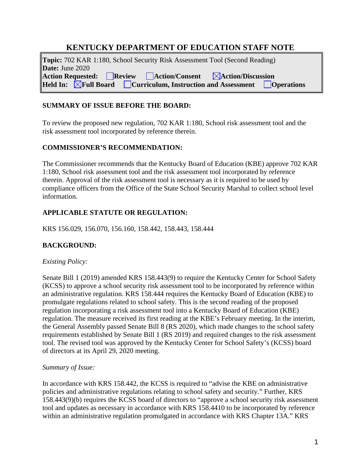# **KENTUCKY DEPARTMENT OF EDUCATION STAFF NOTE**

**Topic:** 702 KAR 1:180, School Security Risk Assessment Tool (Second Reading) **Date:** June 2020 **Action Requested: Review Action/Consent Action/Discussion Held Influential Board Curriculum, Instruction and Assessment Doperations** 

### **SUMMARY OF ISSUE BEFORE THE BOARD:**

To review the proposed new regulation, 702 KAR 1:180, School risk assessment tool and the risk assessment tool incorporated by reference therein.

### **COMMISSIONER'S RECOMMENDATION:**

The Commissioner recommends that the Kentucky Board of Education (KBE) approve 702 KAR 1:180, School risk assessment tool and the risk assessment tool incorporated by reference therein. Approval of the risk assessment tool is necessary as it is required to be used by compliance officers from the Office of the State School Security Marshal to collect school level information.

## **APPLICABLE STATUTE OR REGULATION:**

KRS 156.029, 156.070, 156.160, 158.442, 158.443, 158.444

### **BACKGROUND:**

#### *Existing Policy:*

Senate Bill 1 (2019) amended KRS 158.443(9) to require the Kentucky Center for School Safety (KCSS) to approve a school security risk assessment tool to be incorporated by reference within an administrative regulation. KRS 158.444 requires the Kentucky Board of Education (KBE) to promulgate regulations related to school safety. This is the second reading of the proposed regulation incorporating a risk assessment tool into a Kentucky Board of Education (KBE) regulation. The measure received its first reading at the KBE's February meeting. In the interim, the General Assembly passed Senate Bill 8 (RS 2020), which made changes to the school safety requirements established by Senate Bill 1 (RS 2019) and required changes to the risk assessment tool. The revised tool was approved by the Kentucky Center for School Safety's (KCSS) board of directors at its April 29, 2020 meeting.

#### *Summary of Issue:*

In accordance with KRS 158.442, the KCSS is required to "advise the KBE on administrative policies and administrative regulations relating to school safety and security." Further, KRS 158.443(9)(b) requires the KCSS board of directors to "approve a school security risk assessment tool and updates as necessary in accordance with KRS 158.4410 to be incorporated by reference within an administrative regulation promulgated in accordance with KRS Chapter 13A." KRS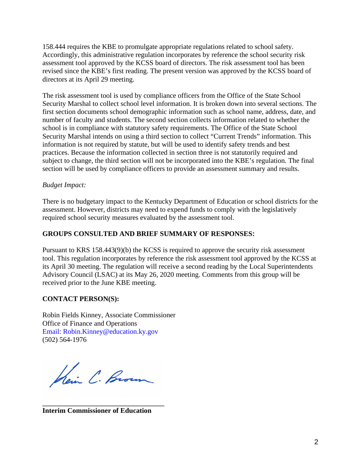158.444 requires the KBE to promulgate appropriate regulations related to school safety. Accordingly, this administrative regulation incorporates by reference the school security risk assessment tool approved by the KCSS board of directors. The risk assessment tool has been revised since the KBE's first reading. The present version was approved by the KCSS board of directors at its April 29 meeting.

The risk assessment tool is used by compliance officers from the Office of the State School Security Marshal to collect school level information. It is broken down into several sections. The first section documents school demographic information such as school name, address, date, and number of faculty and students. The second section collects information related to whether the school is in compliance with statutory safety requirements. The Office of the State School Security Marshal intends on using a third section to collect "Current Trends" information. This information is not required by statute, but will be used to identify safety trends and best practices. Because the information collected in section three is not statutorily required and subject to change, the third section will not be incorporated into the KBE's regulation. The final section will be used by compliance officers to provide an assessment summary and results.

#### *Budget Impact:*

There is no budgetary impact to the Kentucky Department of Education or school districts for the assessment. However, districts may need to expend funds to comply with the legislatively required school security measures evaluated by the assessment tool.

#### **GROUPS CONSULTED AND BRIEF SUMMARY OF RESPONSES:**

Pursuant to KRS 158.443(9)(b) the KCSS is required to approve the security risk assessment tool. This regulation incorporates by reference the risk assessment tool approved by the KCSS at its April 30 meeting. The regulation will receive a second reading by the Local Superintendents Advisory Council (LSAC) at its May 26, 2020 meeting. Comments from this group will be received prior to the June KBE meeting.

#### **CONTACT PERSON(S):**

Robin Fields Kinney, Associate Commissioner Office of Finance and Operations Email: [Robin.Kinney@education.ky.gov](mailto:Robin.Kinney@education.ky.gov) (502) 564-1976

Kein C. Brown

\_\_\_\_\_\_\_\_\_\_\_\_\_\_\_\_\_\_\_\_\_\_\_\_\_\_\_\_\_\_\_

**Interim Commissioner of Education**